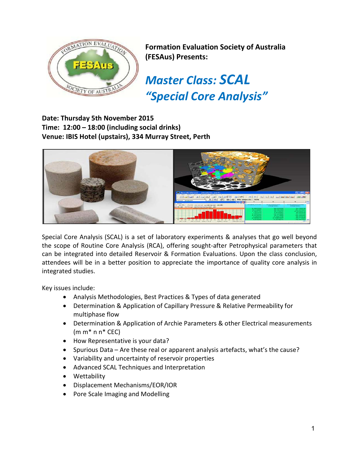

**Formation Evaluation Society of Australia (FESAus) Presents:**

*Master Class: SCAL "Special Core Analysis"*

**Date: Thursday 5th November 2015 Time: 12:00 – 18:00 (including social drinks) Venue: IBIS Hotel (upstairs), 334 Murray Street, Perth**



Special Core Analysis (SCAL) is a set of laboratory experiments & analyses that go well beyond the scope of Routine Core Analysis (RCA), offering sought-after Petrophysical parameters that can be integrated into detailed Reservoir & Formation Evaluations. Upon the class conclusion, attendees will be in a better position to appreciate the importance of quality core analysis in integrated studies.

Key issues include:

- Analysis Methodologies, Best Practices & Types of data generated
- Determination & Application of Capillary Pressure & Relative Permeability for multiphase flow
- Determination & Application of Archie Parameters & other Electrical measurements  $(m m^* n n^* CEC)$
- How Representative is your data?
- Spurious Data Are these real or apparent analysis artefacts, what's the cause?
- Variability and uncertainty of reservoir properties
- Advanced SCAL Techniques and Interpretation
- Wettability
- Displacement Mechanisms/EOR/IOR
- Pore Scale Imaging and Modelling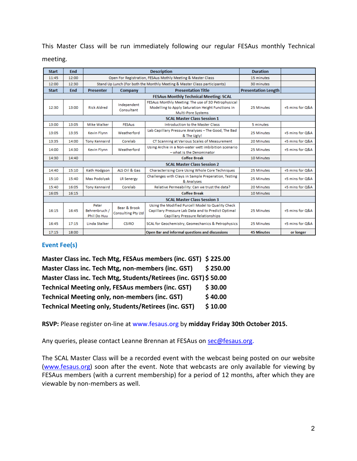This Master Class will be run immediately following our regular FESAus monthly Technical meeting.

| <b>Start</b>                                  | End        | <b>Description</b>                                          |                                           |                                                                                                                                                    | <b>Duration</b>            |                 |  |
|-----------------------------------------------|------------|-------------------------------------------------------------|-------------------------------------------|----------------------------------------------------------------------------------------------------------------------------------------------------|----------------------------|-----------------|--|
| 11:45                                         | 12:00      | Open For Registration, FESAus Mothly Meeting & Master Class |                                           |                                                                                                                                                    | 15 minutes                 |                 |  |
| 12:00                                         | 12:30      |                                                             |                                           | Stand Up Lunch (For both the Monthly Meeting & Master Class participants)                                                                          | 30 minutes                 |                 |  |
| <b>Start</b>                                  | <b>End</b> | <b>Presenter</b>                                            | Company                                   | <b>Presentation Title</b>                                                                                                                          | <b>Presentation Length</b> |                 |  |
| <b>FESAus Monthly Technical Meeting: SCAL</b> |            |                                                             |                                           |                                                                                                                                                    |                            |                 |  |
| 12:30                                         | 13:00      | <b>Rick Aldred</b>                                          | Independent<br>Consultant                 | FESAus Monthly Meeting: The use of 3D Petrophysical<br>Modelling to Apply Saturation Height Functions in<br><b>Multi-Pore Systems</b>              | 25 Minutes                 | +5 mins for Q&A |  |
| <b>SCAL Master Class Session 1</b>            |            |                                                             |                                           |                                                                                                                                                    |                            |                 |  |
| 13:00                                         | 13:05      | <b>Mike Walker</b>                                          | <b>FESAus</b>                             | <b>Introduction to the Master Class</b>                                                                                                            | 5 minutes                  |                 |  |
| 13:05                                         | 13:35      | Kevin Flynn                                                 | Weatherford                               | Lab Capillary Pressure Analyses - The Good, The Bad<br>& The Ugly!                                                                                 | 25 Minutes                 | +5 mins for Q&A |  |
| 13:35                                         | 14:00      | <b>Tony Kennaird</b>                                        | Corelab                                   | CT Scanning at Various Scales of Measurement                                                                                                       | 20 Minutes                 | +5 mins for Q&A |  |
| 14:00                                         | 14:30      | <b>Kevin Flynn</b>                                          | Weatherford                               | Using Archie in a Non-water wett imbibition scenario<br>- what is the Denominator                                                                  | 25 Minutes                 | +5 mins for Q&A |  |
| 14:30                                         | 14:40      |                                                             |                                           | <b>Coffee Break</b>                                                                                                                                | 10 Minutes                 |                 |  |
| <b>SCAL Master Class Session 2</b>            |            |                                                             |                                           |                                                                                                                                                    |                            |                 |  |
| 14:40                                         | 15:10      | Kath Hodgson                                                | ALS Oil & Gas                             | Characterising Core Using Whole Core Techniques                                                                                                    | 25 Minutes                 | +5 mins for Q&A |  |
| 15:10                                         | 15:40      | Max Podolyak                                                | <b>LR Senergy</b>                         | Challenges with Clays in Sample Preperation, Testing<br>& Analyses                                                                                 | 25 Minutes                 | +5 mins for Q&A |  |
| 15:40                                         | 16:05      | <b>Tony Kennaird</b>                                        | Corelab                                   | Relative Permeability: Can we trust the data?                                                                                                      | 20 Minutes                 | +5 mins for Q&A |  |
| 16:05                                         | 16:15      |                                                             |                                           | <b>Coffee Break</b>                                                                                                                                | 10 Minutes                 |                 |  |
| <b>SCAL Master Class Session 3</b>            |            |                                                             |                                           |                                                                                                                                                    |                            |                 |  |
| 16:15                                         | 16:45      | Peter<br>Behrenbruch /<br>Phil Do Huu                       | Bear & Brook<br><b>Consulting Pty Ltd</b> | Using the Modified Purcell Model to Quality Check<br>Capillary Pressure Lab Data and to Predict Optimal<br><b>Capillary Pressure Relationships</b> | 25 Minutes                 | +5 mins for Q&A |  |
| 16:45                                         | 17:15      | Linda Stalker                                               | <b>CSIRO</b>                              | SCAL for Geochemistry, Geomechanics & Petrophysics                                                                                                 | 25 Minutes                 | +5 mins for Q&A |  |
| 17:15                                         | 18:00      |                                                             |                                           | Open Bar and informal questions and discussions                                                                                                    | <b>45 Minutes</b>          | or longer       |  |

## **Event Fee(s)**

| Master Class inc. Tech Mtg, FESAus members (inc. GST) \$225.00   |          |
|------------------------------------------------------------------|----------|
| Master Class inc. Tech Mtg, non-members (inc. GST)               | \$250.00 |
| Master Class inc. Tech Mtg, Students/Retirees (inc. GST) \$50.00 |          |
| <b>Technical Meeting only, FESAus members (inc. GST)</b>         | \$30.00  |
| <b>Technical Meeting only, non-members (inc. GST)</b>            | \$40.00  |
| Technical Meeting only, Students/Retirees (inc. GST)             | \$10.00  |

**RSVP:** Please register on-line at www.fesaus.org by **midday Friday 30th October 2015.**

Any queries, please contact Leanne Brennan at FESAus on [sec@fesaus.org.](mailto:sec@fesaus.org)

The SCAL Master Class will be a recorded event with the webcast being posted on our website [\(www.fesaus.org\)](http://www.fesaus.org/) soon after the event. Note that webcasts are only available for viewing by FESAus members (with a current membership) for a period of 12 months, after which they are viewable by non-members as well.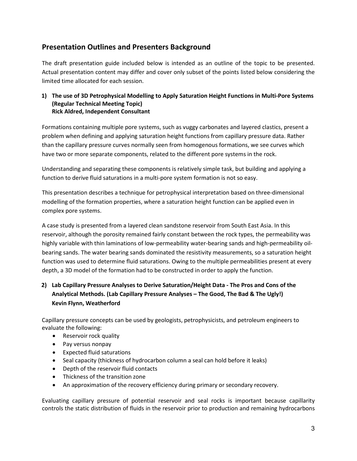# **Presentation Outlines and Presenters Background**

The draft presentation guide included below is intended as an outline of the topic to be presented. Actual presentation content may differ and cover only subset of the points listed below considering the limited time allocated for each session.

#### **1) The use of 3D Petrophysical Modelling to Apply Saturation Height Functions in Multi-Pore Systems (Regular Technical Meeting Topic) Rick Aldred, Independent Consultant**

Formations containing multiple pore systems, such as vuggy carbonates and layered clastics, present a problem when defining and applying saturation height functions from capillary pressure data. Rather than the capillary pressure curves normally seen from homogenous formations, we see curves which have two or more separate components, related to the different pore systems in the rock.

Understanding and separating these components is relatively simple task, but building and applying a function to derive fluid saturations in a multi-pore system formation is not so easy.

This presentation describes a technique for petrophysical interpretation based on three-dimensional modelling of the formation properties, where a saturation height function can be applied even in complex pore systems.

A case study is presented from a layered clean sandstone reservoir from South East Asia. In this reservoir, although the porosity remained fairly constant between the rock types, the permeability was highly variable with thin laminations of low-permeability water-bearing sands and high-permeability oilbearing sands. The water bearing sands dominated the resistivity measurements, so a saturation height function was used to determine fluid saturations. Owing to the multiple permeabilities present at every depth, a 3D model of the formation had to be constructed in order to apply the function.

## **2) Lab Capillary Pressure Analyses to Derive Saturation/Height Data - The Pros and Cons of the Analytical Methods. (Lab Capillary Pressure Analyses – The Good, The Bad & The Ugly!) Kevin Flynn, Weatherford**

Capillary pressure concepts can be used by geologists, petrophysicists, and petroleum engineers to evaluate the following:

- Reservoir rock quality
- Pay versus nonpay
- Expected fluid saturations
- Seal capacity (thickness of hydrocarbon column a seal can hold before it leaks)
- Depth of the reservoir fluid contacts
- Thickness of the transition zone
- An approximation of the recovery efficiency during primary or secondary recovery.

Evaluating capillary pressure of potential reservoir and seal rocks is important because capillarity controls the static distribution of fluids in the reservoir prior to production and remaining hydrocarbons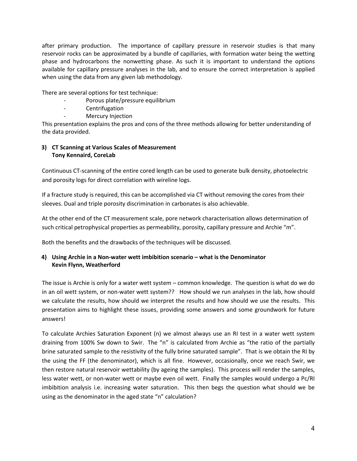after primary production. The importance of capillary pressure in reservoir studies is that many reservoir rocks can be approximated by a bundle of capillaries, with formation water being the wetting phase and hydrocarbons the nonwetting phase. As such it is important to understand the options available for capillary pressure analyses in the lab, and to ensure the correct interpretation is applied when using the data from any given lab methodology.

There are several options for test technique:

- Porous plate/pressure equilibrium
- Centrifugation
- Mercury Injection

This presentation explains the pros and cons of the three methods allowing for better understanding of the data provided.

#### **3) CT Scanning at Various Scales of Measurement Tony Kennaird, CoreLab**

Continuous CT-scanning of the entire cored length can be used to generate bulk density, photoelectric and porosity logs for direct correlation with wireline logs.

If a fracture study is required, this can be accomplished via CT without removing the cores from their sleeves. Dual and triple porosity discrimination in carbonates is also achievable.

At the other end of the CT measurement scale, pore network characterisation allows determination of such critical petrophysical properties as permeability, porosity, capillary pressure and Archie "m".

Both the benefits and the drawbacks of the techniques will be discussed.

#### **4) Using Archie in a Non-water wett imbibition scenario – what is the Denominator Kevin Flynn, Weatherford**

The issue is Archie is only for a water wett system – common knowledge. The question is what do we do in an oil wett system, or non-water wett system?? How should we run analyses in the lab, how should we calculate the results, how should we interpret the results and how should we use the results. This presentation aims to highlight these issues, providing some answers and some groundwork for future answers!

To calculate Archies Saturation Exponent (n) we almost always use an RI test in a water wett system draining from 100% Sw down to Swir. The "n" is calculated from Archie as "the ratio of the partially brine saturated sample to the resistivity of the fully brine saturated sample". That is we obtain the RI by the using the FF (the denominator), which is all fine. However, occasionally, once we reach Swir, we then restore natural reservoir wettability (by ageing the samples). This process will render the samples, less water wett, or non-water wett or maybe even oil wett. Finally the samples would undergo a Pc/RI imbibition analysis i.e. increasing water saturation. This then begs the question what should we be using as the denominator in the aged state "n" calculation?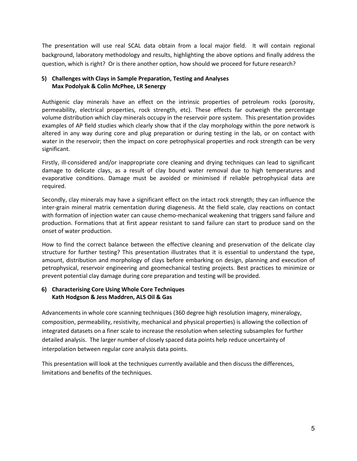The presentation will use real SCAL data obtain from a local major field. It will contain regional background, laboratory methodology and results, highlighting the above options and finally address the question, which is right? Or is there another option, how should we proceed for future research?

## **5) Challenges with Clays in Sample Preparation, Testing and Analyses Max Podolyak & Colin McPhee, LR Senergy**

Authigenic clay minerals have an effect on the intrinsic properties of petroleum rocks (porosity, permeability, electrical properties, rock strength, etc). These effects far outweigh the percentage volume distribution which clay minerals occupy in the reservoir pore system. This presentation provides examples of AP field studies which clearly show that if the clay morphology within the pore network is altered in any way during core and plug preparation or during testing in the lab, or on contact with water in the reservoir; then the impact on core petrophysical properties and rock strength can be very significant.

Firstly, ill-considered and/or inappropriate core cleaning and drying techniques can lead to significant damage to delicate clays, as a result of clay bound water removal due to high temperatures and evaporative conditions. Damage must be avoided or minimised if reliable petrophysical data are required.

Secondly, clay minerals may have a significant effect on the intact rock strength; they can influence the inter-grain mineral matrix cementation during diagenesis. At the field scale, clay reactions on contact with formation of injection water can cause chemo-mechanical weakening that triggers sand failure and production. Formations that at first appear resistant to sand failure can start to produce sand on the onset of water production.

How to find the correct balance between the effective cleaning and preservation of the delicate clay structure for further testing? This presentation illustrates that it is essential to understand the type, amount, distribution and morphology of clays before embarking on design, planning and execution of petrophysical, reservoir engineering and geomechanical testing projects. Best practices to minimize or prevent potential clay damage during core preparation and testing will be provided.

## **6) Characterising Core Using Whole Core Techniques Kath Hodgson & Jess Maddren, ALS Oil & Gas**

Advancements in whole core scanning techniques (360 degree high resolution imagery, mineralogy, composition, permeability, resistivity, mechanical and physical properties) is allowing the collection of integrated datasets on a finer scale to increase the resolution when selecting subsamples for further detailed analysis. The larger number of closely spaced data points help reduce uncertainty of interpolation between regular core analysis data points.

This presentation will look at the techniques currently available and then discuss the differences, limitations and benefits of the techniques.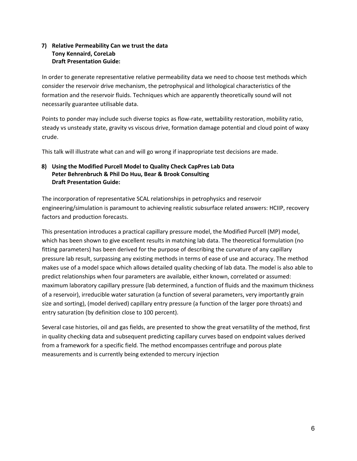## **7) Relative Permeability Can we trust the data Tony Kennaird, CoreLab Draft Presentation Guide:**

In order to generate representative relative permeability data we need to choose test methods which consider the reservoir drive mechanism, the petrophysical and lithological characteristics of the formation and the reservoir fluids. Techniques which are apparently theoretically sound will not necessarily guarantee utilisable data.

Points to ponder may include such diverse topics as flow-rate, wettability restoration, mobility ratio, steady vs unsteady state, gravity vs viscous drive, formation damage potential and cloud point of waxy crude.

This talk will illustrate what can and will go wrong if inappropriate test decisions are made.

#### **8) Using the Modified Purcell Model to Quality Check CapPres Lab Data Peter Behrenbruch & Phil Do Huu, Bear & Brook Consulting Draft Presentation Guide:**

The incorporation of representative SCAL relationships in petrophysics and reservoir engineering/simulation is paramount to achieving realistic subsurface related answers: HCIIP, recovery factors and production forecasts.

This presentation introduces a practical capillary pressure model, the Modified Purcell (MP) model, which has been shown to give excellent results in matching lab data. The theoretical formulation (no fitting parameters) has been derived for the purpose of describing the curvature of any capillary pressure lab result, surpassing any existing methods in terms of ease of use and accuracy. The method makes use of a model space which allows detailed quality checking of lab data. The model is also able to predict relationships when four parameters are available, either known, correlated or assumed: maximum laboratory capillary pressure (lab determined, a function of fluids and the maximum thickness of a reservoir), irreducible water saturation (a function of several parameters, very importantly grain size and sorting), (model derived) capillary entry pressure (a function of the larger pore throats) and entry saturation (by definition close to 100 percent).

Several case histories, oil and gas fields, are presented to show the great versatility of the method, first in quality checking data and subsequent predicting capillary curves based on endpoint values derived from a framework for a specific field. The method encompasses centrifuge and porous plate measurements and is currently being extended to mercury injection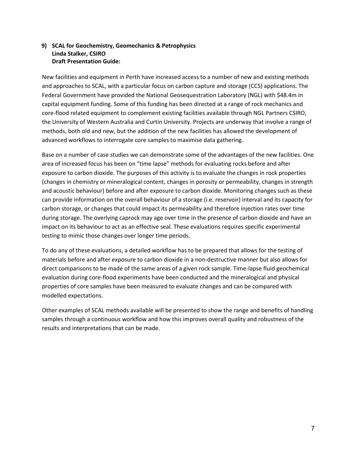### **9) SCAL for Geochemistry, Geomechanics & Petrophysics Linda Stalker, CSIRO Draft Presentation Guide:**

New facilities and equipment in Perth have increased access to a number of new and existing methods and approaches to SCAL, with a particular focus on carbon capture and storage (CCS) applications. The Federal Government have provided the National Geosequestration Laboratory (NGL) with \$48.4m in capital equipment funding. Some of this funding has been directed at a range of rock mechanics and core-flood related equipment to complement existing facilities available through NGL Partners CSIRO, the University of Western Australia and Curtin University. Projects are underway that involve a range of methods, both old and new, but the addition of the new facilities has allowed the development of advanced workflows to interrogate core samples to maximise data gathering.

Base on a number of case studies we can demonstrate some of the advantages of the new facilities. One area of increased focus has been on "time lapse" methods for evaluating rocks before and after exposure to carbon dioxide. The purposes of this activity is to evaluate the changes in rock properties (changes in chemistry or mineralogical content, changes in porosity or permeability, changes in strength and acoustic behaviour) before and after exposure to carbon dioxide. Monitoring changes such as these can provide information on the overall behaviour of a storage (i.e. reservoir) interval and its capacity for carbon storage, or changes that could impact its permeability and therefore injection rates over time during storage. The overlying caprock may age over time in the presence of carbon dioxide and have an impact on its behaviour to act as an effective seal. These evaluations requires specific experimental testing to mimic those changes over longer time periods.

To do any of these evaluations, a detailed workflow has to be prepared that allows for the testing of materials before and after exposure to carbon dioxide in a non-destructive manner but also allows for direct comparisons to be made of the same areas of a given rock sample. Time-lapse fluid geochemical evaluation during core-flood experiments have been conducted and the mineralogical and physical properties of core samples have been measured to evaluate changes and can be compared with modelled expectations.

Other examples of SCAL methods available will be presented to show the range and benefits of handling samples through a continuous workflow and how this improves overall quality and robustness of the results and interpretations that can be made.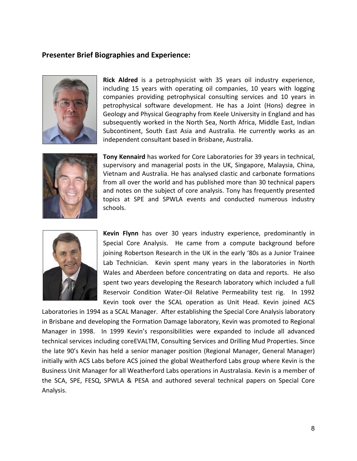## **Presenter Brief Biographies and Experience:**



**Rick Aldred** is a petrophysicist with 35 years oil industry experience, including 15 years with operating oil companies, 10 years with logging companies providing petrophysical consulting services and 10 years in petrophysical software development. He has a Joint (Hons) degree in Geology and Physical Geography from Keele University in England and has subsequently worked in the North Sea, North Africa, Middle East, Indian Subcontinent, South East Asia and Australia. He currently works as an independent consultant based in Brisbane, Australia.



**Tony Kennaird** has worked for Core Laboratories for 39 years in technical, supervisory and managerial posts in the UK, Singapore, Malaysia, China, Vietnam and Australia. He has analysed clastic and carbonate formations from all over the world and has published more than 30 technical papers and notes on the subject of core analysis. Tony has frequently presented topics at SPE and SPWLA events and conducted numerous industry schools.



**Kevin Flynn** has over 30 years industry experience, predominantly in Special Core Analysis. He came from a compute background before joining Robertson Research in the UK in the early '80s as a Junior Trainee Lab Technician. Kevin spent many years in the laboratories in North Wales and Aberdeen before concentrating on data and reports. He also spent two years developing the Research laboratory which included a full Reservoir Condition Water-Oil Relative Permeability test rig. In 1992 Kevin took over the SCAL operation as Unit Head. Kevin joined ACS

Laboratories in 1994 as a SCAL Manager. After establishing the Special Core Analysis laboratory in Brisbane and developing the Formation Damage laboratory, Kevin was promoted to Regional Manager in 1998. In 1999 Kevin's responsibilities were expanded to include all advanced technical services including coreEVALTM, Consulting Services and Drilling Mud Properties. Since the late 90's Kevin has held a senior manager position (Regional Manager, General Manager) initially with ACS Labs before ACS joined the global Weatherford Labs group where Kevin is the Business Unit Manager for all Weatherford Labs operations in Australasia. Kevin is a member of the SCA, SPE, FESQ, SPWLA & PESA and authored several technical papers on Special Core Analysis.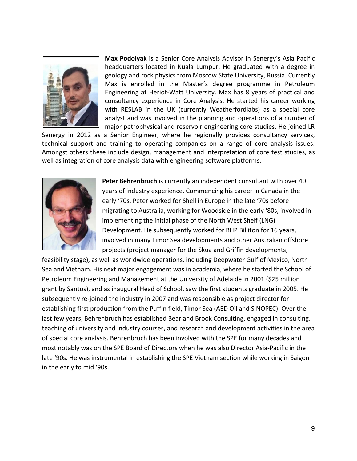

**Max Podolyak** is a Senior Core Analysis Advisor in Senergy's Asia Pacific headquarters located in Kuala Lumpur. He graduated with a degree in geology and rock physics from Moscow State University, Russia. Currently Max is enrolled in the Master's degree programme in Petroleum Engineering at Heriot-Watt University. Max has 8 years of practical and consultancy experience in Core Analysis. He started his career working with RESLAB in the UK (currently Weatherfordlabs) as a special core analyst and was involved in the planning and operations of a number of major petrophysical and reservoir engineering core studies. He joined LR

Senergy in 2012 as a Senior Engineer, where he regionally provides consultancy services, technical support and training to operating companies on a range of core analysis issues. Amongst others these include design, management and interpretation of core test studies, as well as integration of core analysis data with engineering software platforms.



**Peter Behrenbruch** is currently an independent consultant with over 40 years of industry experience. Commencing his career in Canada in the early '70s, Peter worked for Shell in Europe in the late '70s before migrating to Australia, working for Woodside in the early '80s, involved in implementing the initial phase of the North West Shelf (LNG) Development. He subsequently worked for BHP Billiton for 16 years, involved in many Timor Sea developments and other Australian offshore projects (project manager for the Skua and Griffin developments,

feasibility stage), as well as worldwide operations, including Deepwater Gulf of Mexico, North Sea and Vietnam. His next major engagement was in academia, where he started the School of Petroleum Engineering and Management at the University of Adelaide in 2001 (\$25 million grant by Santos), and as inaugural Head of School, saw the first students graduate in 2005. He subsequently re-joined the industry in 2007 and was responsible as project director for establishing first production from the Puffin field, Timor Sea (AED Oil and SINOPEC). Over the last few years, Behrenbruch has established Bear and Brook Consulting, engaged in consulting, teaching of university and industry courses, and research and development activities in the area of special core analysis. Behrenbruch has been involved with the SPE for many decades and most notably was on the SPE Board of Directors when he was also Director Asia-Pacific in the late '90s. He was instrumental in establishing the SPE Vietnam section while working in Saigon in the early to mid '90s.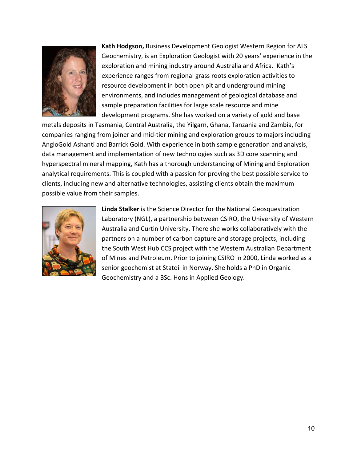

**Kath Hodgson,** Business Development Geologist Western Region for ALS Geochemistry, is an Exploration Geologist with 20 years' experience in the exploration and mining industry around Australia and Africa. Kath's experience ranges from regional grass roots exploration activities to resource development in both open pit and underground mining environments, and includes management of geological database and sample preparation facilities for large scale resource and mine development programs. She has worked on a variety of gold and base

metals deposits in Tasmania, Central Australia, the Yilgarn, Ghana, Tanzania and Zambia, for companies ranging from joiner and mid-tier mining and exploration groups to majors including AngloGold Ashanti and Barrick Gold. With experience in both sample generation and analysis, data management and implementation of new technologies such as 3D core scanning and hyperspectral mineral mapping, Kath has a thorough understanding of Mining and Exploration analytical requirements. This is coupled with a passion for proving the best possible service to clients, including new and alternative technologies, assisting clients obtain the maximum possible value from their samples.



**Linda Stalker** is the Science Director for the National Geosquestration Laboratory (NGL), a partnership between CSIRO, the University of Western Australia and Curtin University. There she works collaboratively with the partners on a number of carbon capture and storage projects, including the South West Hub CCS project with the Western Australian Department of Mines and Petroleum. Prior to joining CSIRO in 2000, Linda worked as a senior geochemist at Statoil in Norway. She holds a PhD in Organic Geochemistry and a BSc. Hons in Applied Geology.